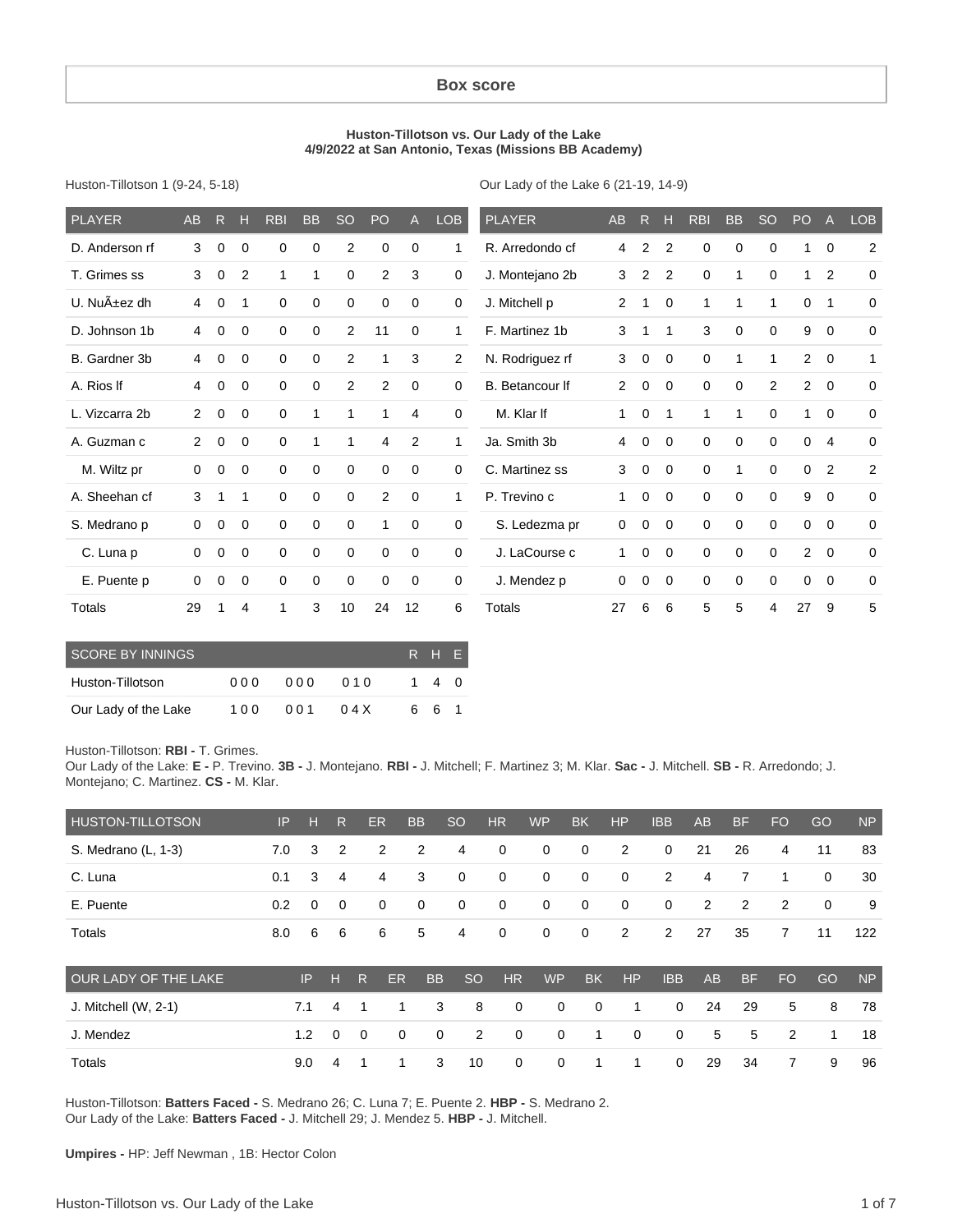#### **Box score**

#### **Huston-Tillotson vs. Our Lady of the Lake 4/9/2022 at San Antonio, Texas (Missions BB Academy)**

Huston-Tillotson 1 (9-24, 5-18)

Our Lady of the Lake 6 (21-19, 14-9)

| <b>PLAYER</b>  | <b>AB</b>      | R           | н           | <b>RBI</b>  | <b>BB</b> | <b>SO</b>      | PO             | $\mathsf{A}$ | LOB          | <b>PLAYER</b>   | <b>AB</b>      | R              | н              | <b>RBI</b>   | <b>BB</b>   | <b>SO</b>   | PO             | $\mathsf{A}$   | <b>LOB</b>  |
|----------------|----------------|-------------|-------------|-------------|-----------|----------------|----------------|--------------|--------------|-----------------|----------------|----------------|----------------|--------------|-------------|-------------|----------------|----------------|-------------|
| D. Anderson rf | 3              | 0           | 0           | 0           | 0         | $\overline{2}$ | 0              | 0            | 1            | R. Arredondo cf | 4              | $\overline{2}$ | $\overline{2}$ | 0            | 0           | 0           | 1              | $\mathbf 0$    | 2           |
| T. Grimes ss   | 3              | 0           | 2           | 1           | 1         | 0              | 2              | 3            | 0            | J. Montejano 2b | 3              | 2              | 2              | $\mathbf 0$  | 1           | $\mathbf 0$ | 1              | $\overline{2}$ | $\mathbf 0$ |
| U. Nuñez dh    | 4              | 0           | 1           | $\Omega$    | 0         | 0              | $\mathbf 0$    | $\mathbf 0$  | $\mathbf 0$  | J. Mitchell p   | 2              | 1              | 0              | $\mathbf{1}$ | 1           | 1           | 0              | $\mathbf 1$    | $\mathbf 0$ |
| D. Johnson 1b  | 4              | $\Omega$    | $\mathbf 0$ | $\Omega$    | $\Omega$  | $\overline{2}$ | 11             | $\Omega$     | 1            | F. Martinez 1b  | 3              | 1              | 1              | 3            | $\mathbf 0$ | $\mathbf 0$ | 9              | $\Omega$       | $\Omega$    |
| B. Gardner 3b  | 4              | 0           | 0           | $\Omega$    | $\Omega$  | 2              | 1              | 3            | 2            | N. Rodriguez rf | 3              | $\mathbf 0$    | $\Omega$       | $\mathbf 0$  | 1           | 1           | $\overline{2}$ | $\Omega$       | 1           |
| A. Rios If     | 4              | $\mathbf 0$ | $\mathbf 0$ | $\Omega$    | 0         | 2              | 2              | $\mathbf 0$  | $\mathbf 0$  | B. Betancour If | $\overline{2}$ | $\mathbf 0$    | $\mathbf 0$    | $\mathbf 0$  | $\mathbf 0$ | 2           | 2              | $\overline{0}$ | $\mathbf 0$ |
| L. Vizcarra 2b | $\overline{2}$ | 0           | $\mathbf 0$ | $\Omega$    |           | 1              | 1              | 4            | $\Omega$     | M. Klar If      | 1              | $\mathbf 0$    | 1              | $\mathbf{1}$ | 1           | 0           | 1              | $\Omega$       | $\mathbf 0$ |
| A. Guzman c    | $\overline{2}$ | $\mathbf 0$ | $\mathbf 0$ | 0           |           | 1              | $\overline{4}$ | 2            | $\mathbf{1}$ | Ja. Smith 3b    | 4              | $\mathbf 0$    | $\mathbf 0$    | $\mathbf 0$  | $\mathbf 0$ | $\mathbf 0$ | $\mathbf 0$    | $\overline{4}$ | $\mathbf 0$ |
| M. Wiltz pr    | 0              | 0           | 0           | $\Omega$    | $\Omega$  | 0              | $\mathbf 0$    | 0            | 0            | C. Martinez ss  | 3              | $\mathbf 0$    | $\Omega$       | $\mathbf 0$  | 1           | 0           | 0              | $\overline{2}$ | 2           |
| A. Sheehan cf  | 3              | 1           | 1           | $\Omega$    | $\Omega$  | 0              | 2              | $\mathbf 0$  | 1            | P. Trevino c    | 1              | $\mathbf 0$    | 0              | 0            | $\mathbf 0$ | 0           | 9              | $\mathbf 0$    | $\mathbf 0$ |
| S. Medrano p   | 0              | $\Omega$    | 0           | $\Omega$    | $\Omega$  | 0              | 1              | $\Omega$     | 0            | S. Ledezma pr   | $\mathbf 0$    | $\mathbf 0$    | $\Omega$       | $\mathbf 0$  | $\mathbf 0$ | 0           | 0              | $\Omega$       | $\Omega$    |
| C. Luna p      | 0              | 0           | $\mathbf 0$ | $\mathbf 0$ | 0         | 0              | $\mathbf 0$    | $\mathbf 0$  | 0            | J. LaCourse c   | 1              | $\mathbf 0$    | 0              | $\mathbf 0$  | $\mathbf 0$ | $\mathbf 0$ | $\overline{2}$ | $\overline{0}$ | $\mathbf 0$ |
| E. Puente p    | 0              | 0           | $\mathbf 0$ | $\Omega$    | $\Omega$  | $\mathbf 0$    | $\mathbf 0$    | $\mathbf 0$  | 0            | J. Mendez p     | $\mathbf 0$    | $\mathbf 0$    | 0              | $\mathbf 0$  | $\mathbf 0$ | $\mathbf 0$ | 0              | $\overline{0}$ | $\Omega$    |
| Totals         | 29             |             | 4           | 1           | 3         | 10             | 24             | 12           | 6            | Totals          | 27             | 6              | 6              | 5            | 5           | 4           | 27             | 9              | 5           |

| <b>SCORE BY INNINGS</b> |     |     |      | R H EI |  |
|-------------------------|-----|-----|------|--------|--|
| Huston-Tillotson        | 000 | 000 | 010  | 14     |  |
| Our Lady of the Lake    | 100 | 001 | 04 X | 661    |  |

Huston-Tillotson: **RBI -** T. Grimes.

Our Lady of the Lake: **E -** P. Trevino. **3B -** J. Montejano. **RBI -** J. Mitchell; F. Martinez 3; M. Klar. **Sac -** J. Mitchell. **SB -** R. Arredondo; J. Montejano; C. Martinez. **CS -** M. Klar.

| <b>HUSTON-TILLOTSON</b> | IP  | н           | R              |             | <b>ER</b>   | <b>BB</b>   | <sub>SO</sub>  | <b>HR</b>   | <b>WP</b> | <b>BK</b>   | <b>HP</b>   | <b>IBB</b>  | <b>AB</b> | <b>BF</b>      | <b>FO</b>      | GO          | <b>NP</b> |
|-------------------------|-----|-------------|----------------|-------------|-------------|-------------|----------------|-------------|-----------|-------------|-------------|-------------|-----------|----------------|----------------|-------------|-----------|
| S. Medrano (L, 1-3)     | 7.0 | 3           | $\overline{2}$ |             | 2           | 2           | 4              | $\mathbf 0$ | 0         | 0           | 2           | 0           | 21        | 26             | 4              | 11          | 83        |
| C. Luna                 | 0.1 | 3           | 4              |             | 4           | 3           | $\mathbf 0$    | $\mathbf 0$ | 0         | $\mathbf 0$ | $\mathbf 0$ | 2           | 4         | 7              |                | $\mathbf 0$ | 30        |
| E. Puente               | 0.2 | $\mathbf 0$ | $\mathbf 0$    |             | $\mathbf 0$ | 0           | $\mathbf 0$    | $\mathbf 0$ | 0         | 0           | $\mathbf 0$ | $\mathbf 0$ | 2         | $\overline{2}$ | 2              | $\mathbf 0$ | 9         |
| Totals                  | 8.0 | 6           | 6              |             | 6           | 5           | 4              | $\mathbf 0$ | 0         | 0           | 2           | 2           | 27        | 35             | $\overline{7}$ | 11          | 122       |
| OUR LADY OF THE LAKE    |     | IP          | н              | R           | ER          | <b>BB</b>   | <b>SO</b>      | <b>HR</b>   | <b>WP</b> | <b>BK</b>   | <b>HP</b>   | <b>IBB</b>  | AB        | <b>BF</b>      | <b>FO</b>      | GO          | <b>NP</b> |
| J. Mitchell $(W, 2-1)$  |     | 7.1         | 4              |             | 1           | 3           | 8              | 0           | 0         | $\mathbf 0$ | 1           | $\mathbf 0$ | 24        | 29             | 5              | 8           | 78        |
| J. Mendez               |     | 1.2         | $\Omega$       | $\mathbf 0$ | $\mathbf 0$ | $\mathbf 0$ | $\overline{2}$ | 0           | 0         | 1           | $\mathbf 0$ | $\mathbf 0$ | 5         | 5              | 2              | 1           | 18        |
| Totals                  |     | 9.0         | 4              | 1           | 1           | 3           | 10             | 0           | 0         |             | 1           | $\mathbf 0$ | 29        | 34             | 7              | 9           | 96        |

Huston-Tillotson: **Batters Faced -** S. Medrano 26; C. Luna 7; E. Puente 2. **HBP -** S. Medrano 2. Our Lady of the Lake: **Batters Faced -** J. Mitchell 29; J. Mendez 5. **HBP -** J. Mitchell.

**Umpires -** HP: Jeff Newman , 1B: Hector Colon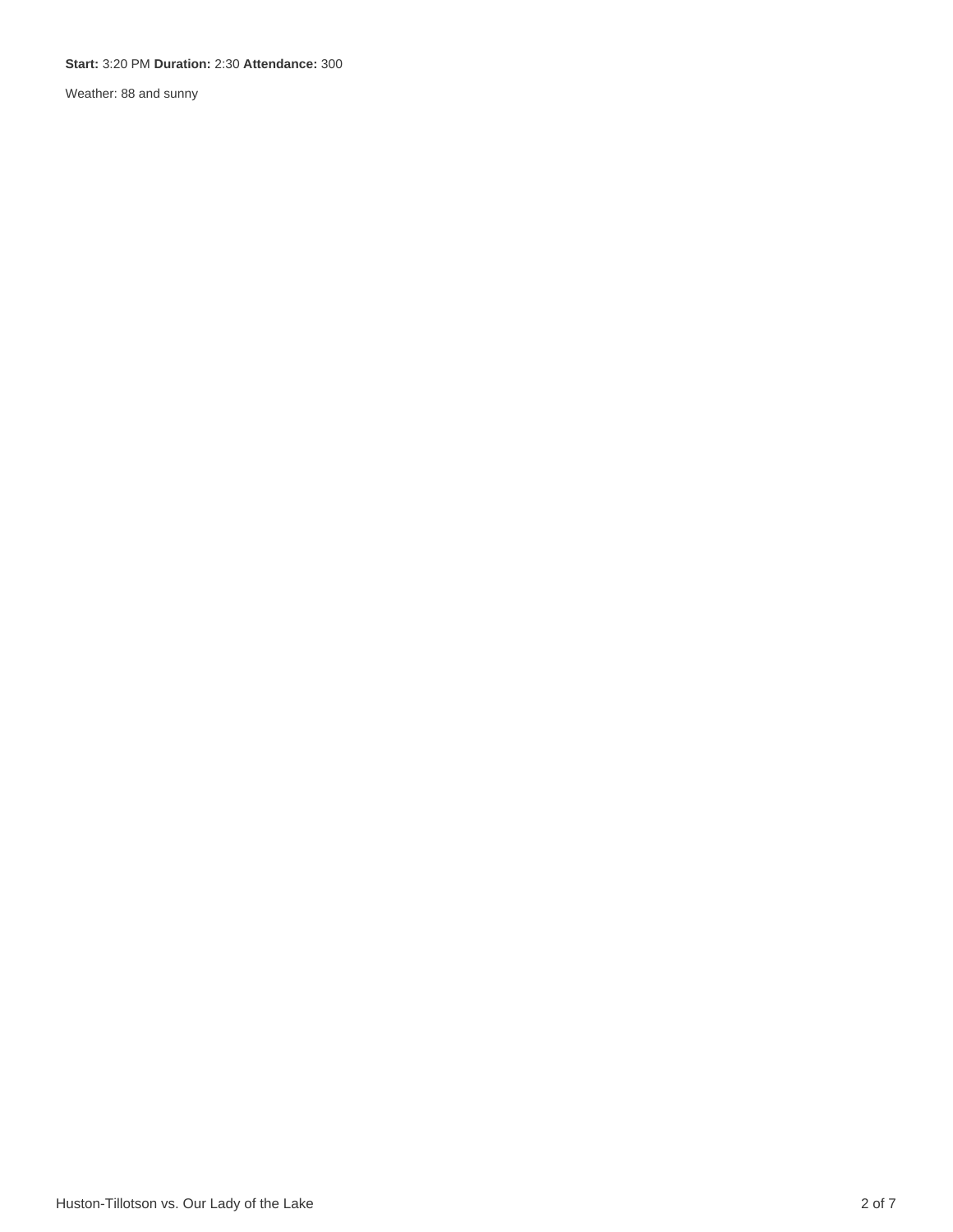#### **Start:** 3:20 PM **Duration:** 2:30 **Attendance:** 300

Weather: 88 and sunny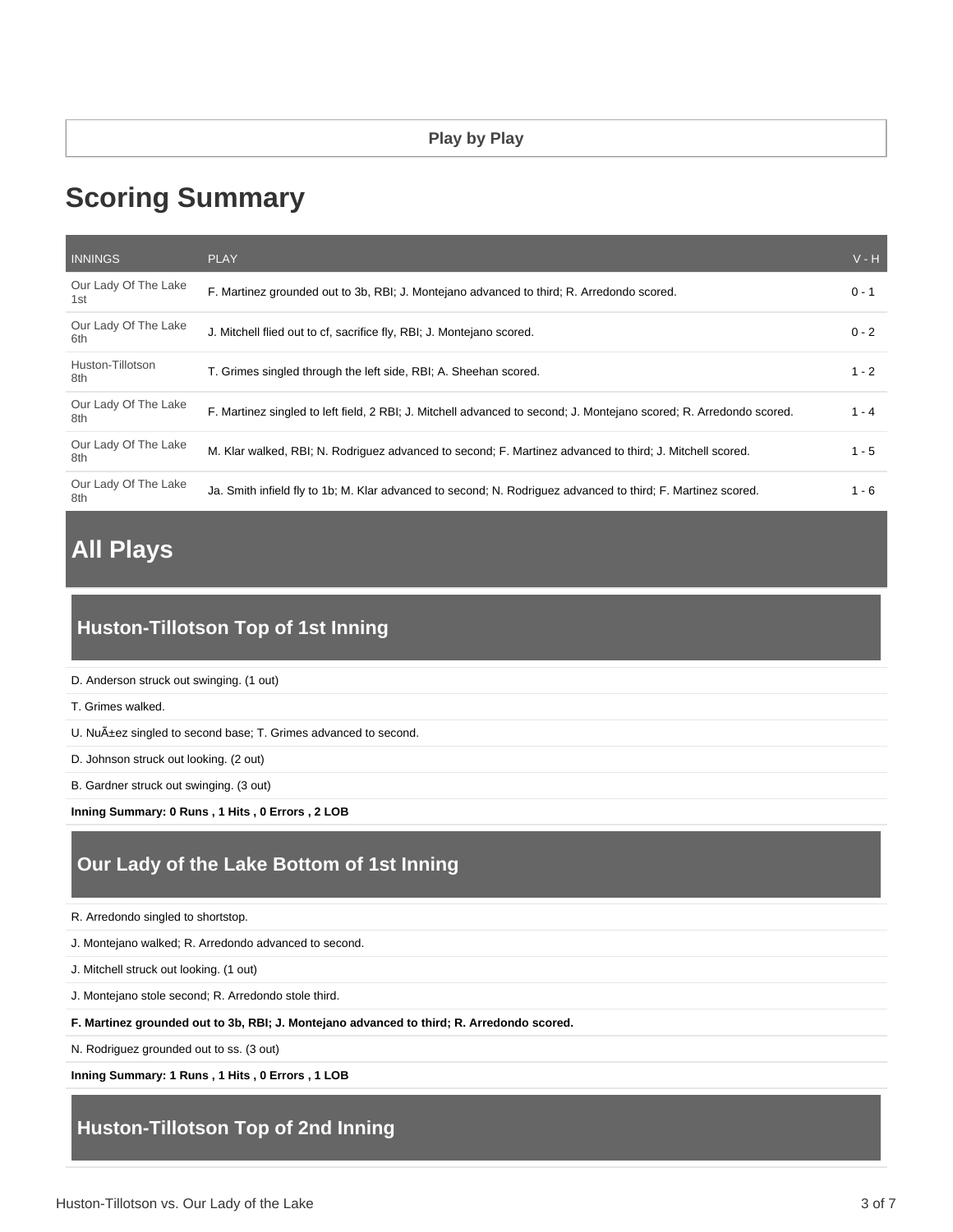# **Scoring Summary**

| <b>INNINGS</b>              | <b>PLAY</b>                                                                                                         | $V - H$ |
|-----------------------------|---------------------------------------------------------------------------------------------------------------------|---------|
| Our Lady Of The Lake<br>1st | F. Martinez grounded out to 3b, RBI; J. Montejano advanced to third; R. Arredondo scored.                           | $0 - 1$ |
| Our Lady Of The Lake<br>6th | J. Mitchell flied out to cf, sacrifice fly, RBI; J. Montejano scored.                                               | $0 - 2$ |
| Huston-Tillotson<br>8th     | T. Grimes singled through the left side, RBI; A. Sheehan scored.                                                    | $1 - 2$ |
| Our Lady Of The Lake<br>8th | F. Martinez singled to left field, 2 RBI; J. Mitchell advanced to second; J. Montejano scored; R. Arredondo scored. | $1 - 4$ |
| Our Lady Of The Lake<br>8th | M. Klar walked, RBI; N. Rodriguez advanced to second; F. Martinez advanced to third; J. Mitchell scored.            | $1 - 5$ |
| Our Lady Of The Lake<br>8th | Ja. Smith infield fly to 1b; M. Klar advanced to second; N. Rodriguez advanced to third; F. Martinez scored.        | 1 - 6   |

# **All Plays**

### **Huston-Tillotson Top of 1st Inning**

D. Anderson struck out swinging. (1 out)

T. Grimes walked.

U. Nuñez singled to second base; T. Grimes advanced to second.

D. Johnson struck out looking. (2 out)

B. Gardner struck out swinging. (3 out)

**Inning Summary: 0 Runs , 1 Hits , 0 Errors , 2 LOB**

### **Our Lady of the Lake Bottom of 1st Inning**

R. Arredondo singled to shortstop.

J. Montejano walked; R. Arredondo advanced to second.

J. Mitchell struck out looking. (1 out)

J. Montejano stole second; R. Arredondo stole third.

**F. Martinez grounded out to 3b, RBI; J. Montejano advanced to third; R. Arredondo scored.**

N. Rodriguez grounded out to ss. (3 out)

**Inning Summary: 1 Runs , 1 Hits , 0 Errors , 1 LOB**

#### **Huston-Tillotson Top of 2nd Inning**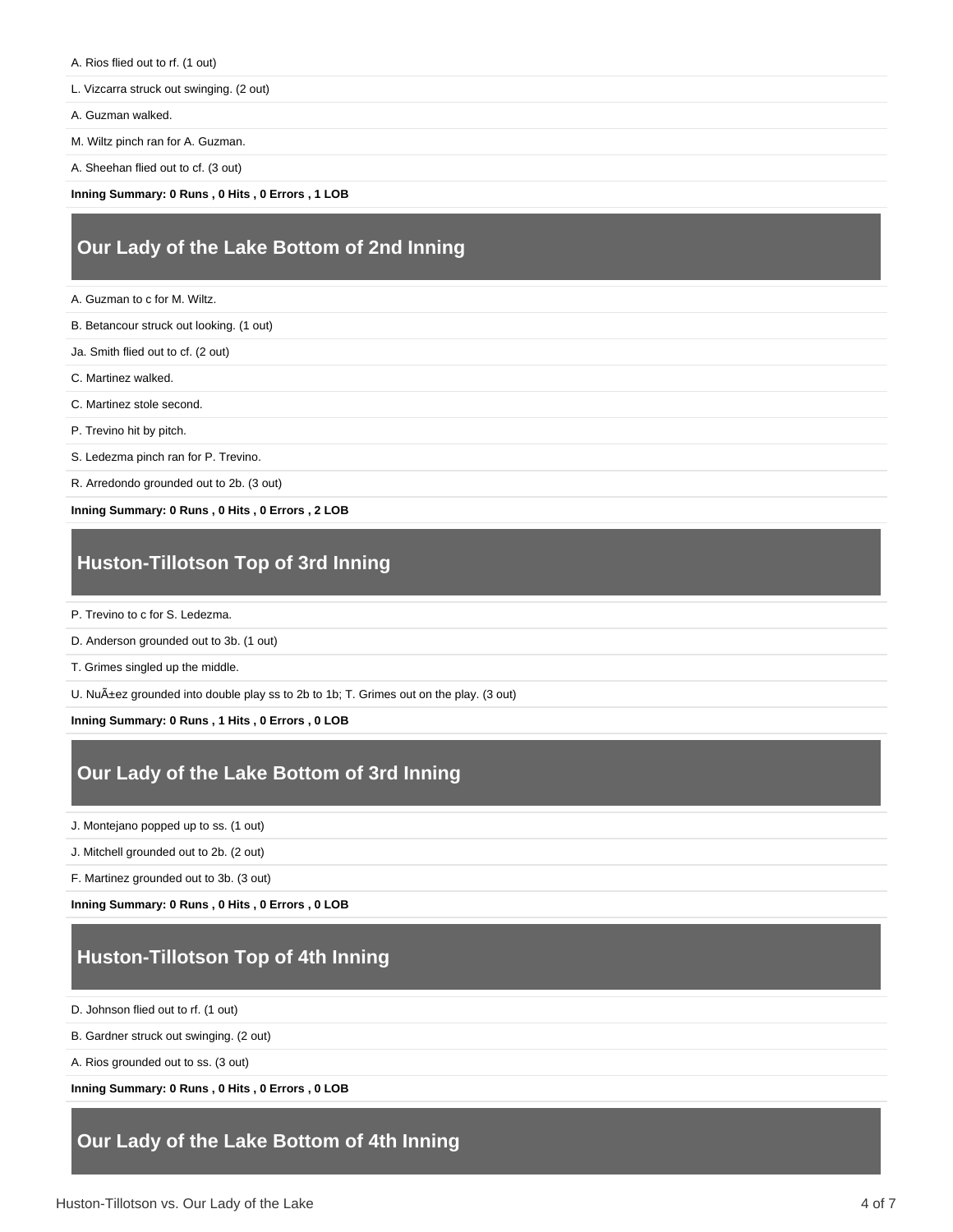- A. Rios flied out to rf. (1 out)
- L. Vizcarra struck out swinging. (2 out)
- A. Guzman walked.
- M. Wiltz pinch ran for A. Guzman.
- A. Sheehan flied out to cf. (3 out)
- **Inning Summary: 0 Runs , 0 Hits , 0 Errors , 1 LOB**

#### **Our Lady of the Lake Bottom of 2nd Inning**

- A. Guzman to c for M. Wiltz.
- B. Betancour struck out looking. (1 out)
- Ja. Smith flied out to cf. (2 out)
- C. Martinez walked.
- C. Martinez stole second.
- P. Trevino hit by pitch.
- S. Ledezma pinch ran for P. Trevino.
- R. Arredondo grounded out to 2b. (3 out)

**Inning Summary: 0 Runs , 0 Hits , 0 Errors , 2 LOB**

#### **Huston-Tillotson Top of 3rd Inning**

- P. Trevino to c for S. Ledezma.
- D. Anderson grounded out to 3b. (1 out)
- T. Grimes singled up the middle.

U. Nuñez grounded into double play ss to 2b to 1b; T. Grimes out on the play. (3 out)

**Inning Summary: 0 Runs , 1 Hits , 0 Errors , 0 LOB**

#### **Our Lady of the Lake Bottom of 3rd Inning**

J. Montejano popped up to ss. (1 out)

J. Mitchell grounded out to 2b. (2 out)

F. Martinez grounded out to 3b. (3 out)

**Inning Summary: 0 Runs , 0 Hits , 0 Errors , 0 LOB**

### **Huston-Tillotson Top of 4th Inning**

D. Johnson flied out to rf. (1 out)

B. Gardner struck out swinging. (2 out)

A. Rios grounded out to ss. (3 out)

**Inning Summary: 0 Runs , 0 Hits , 0 Errors , 0 LOB**

#### **Our Lady of the Lake Bottom of 4th Inning**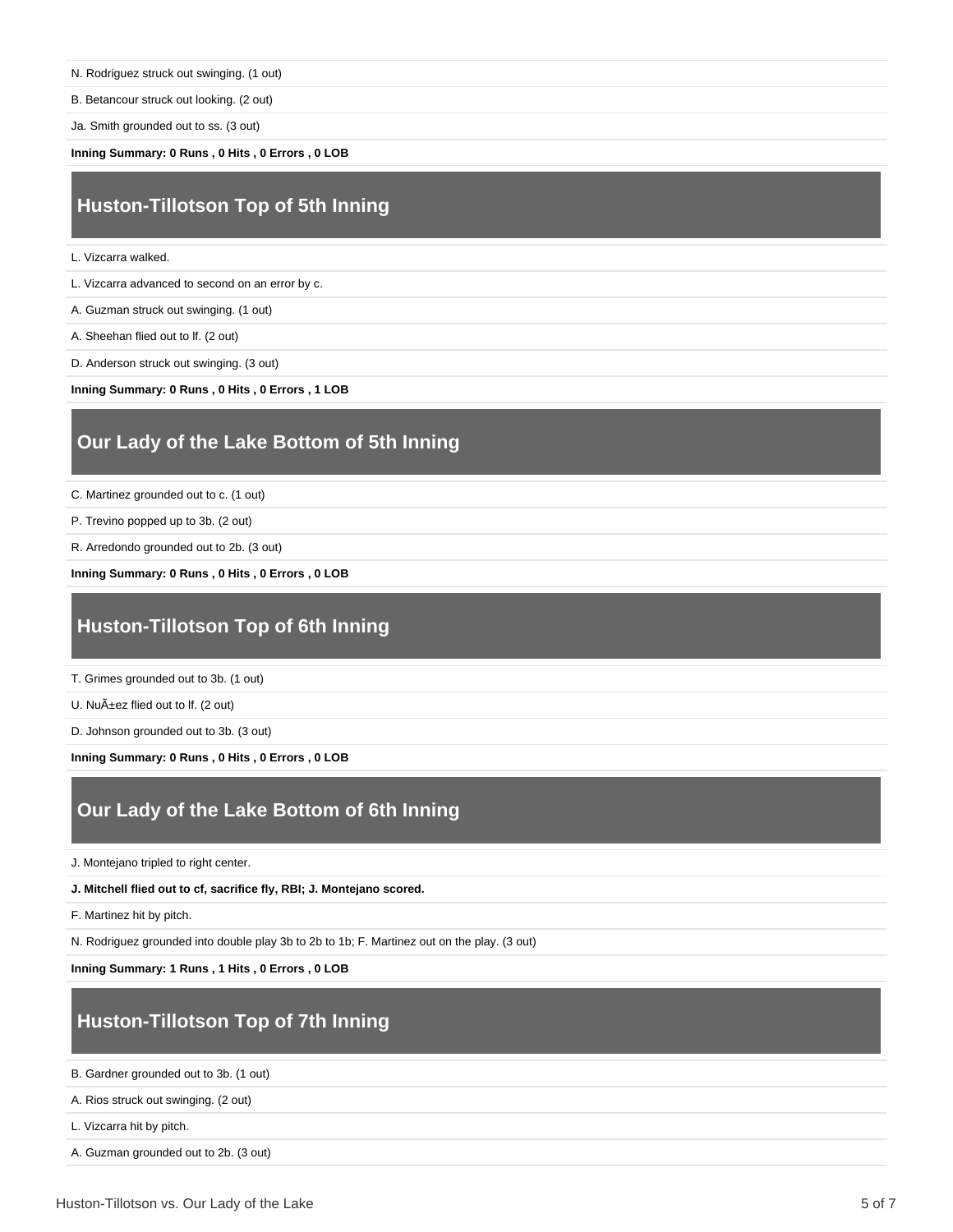N. Rodriguez struck out swinging. (1 out)

B. Betancour struck out looking. (2 out)

Ja. Smith grounded out to ss. (3 out)

**Inning Summary: 0 Runs , 0 Hits , 0 Errors , 0 LOB**

#### **Huston-Tillotson Top of 5th Inning**

L. Vizcarra walked.

L. Vizcarra advanced to second on an error by c.

A. Guzman struck out swinging. (1 out)

A. Sheehan flied out to lf. (2 out)

D. Anderson struck out swinging. (3 out)

**Inning Summary: 0 Runs , 0 Hits , 0 Errors , 1 LOB**

#### **Our Lady of the Lake Bottom of 5th Inning**

C. Martinez grounded out to c. (1 out)

P. Trevino popped up to 3b. (2 out)

R. Arredondo grounded out to 2b. (3 out)

**Inning Summary: 0 Runs , 0 Hits , 0 Errors , 0 LOB**

### **Huston-Tillotson Top of 6th Inning**

T. Grimes grounded out to 3b. (1 out)

U. Nuñez flied out to lf. (2 out)

D. Johnson grounded out to 3b. (3 out)

**Inning Summary: 0 Runs , 0 Hits , 0 Errors , 0 LOB**

#### **Our Lady of the Lake Bottom of 6th Inning**

J. Montejano tripled to right center.

**J. Mitchell flied out to cf, sacrifice fly, RBI; J. Montejano scored.**

F. Martinez hit by pitch.

N. Rodriguez grounded into double play 3b to 2b to 1b; F. Martinez out on the play. (3 out)

**Inning Summary: 1 Runs , 1 Hits , 0 Errors , 0 LOB**

#### **Huston-Tillotson Top of 7th Inning**

B. Gardner grounded out to 3b. (1 out)

A. Rios struck out swinging. (2 out)

L. Vizcarra hit by pitch.

A. Guzman grounded out to 2b. (3 out)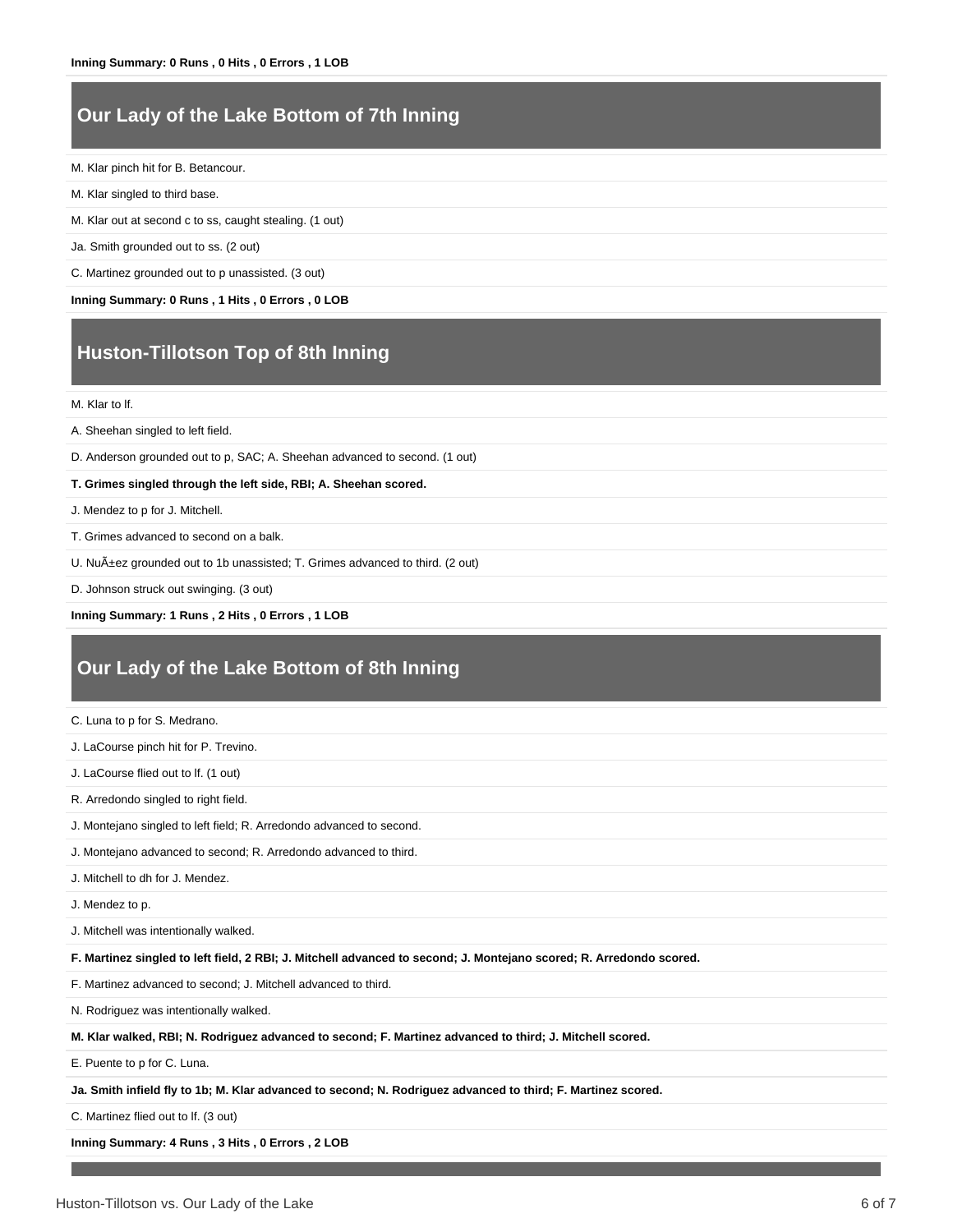#### **Our Lady of the Lake Bottom of 7th Inning**

#### M. Klar pinch hit for B. Betancour.

- M. Klar singled to third base.
- M. Klar out at second c to ss, caught stealing. (1 out)
- Ja. Smith grounded out to ss. (2 out)
- C. Martinez grounded out to p unassisted. (3 out)

**Inning Summary: 0 Runs , 1 Hits , 0 Errors , 0 LOB**

### **Huston-Tillotson Top of 8th Inning**

M. Klar to lf.

A. Sheehan singled to left field.

D. Anderson grounded out to p, SAC; A. Sheehan advanced to second. (1 out)

**T. Grimes singled through the left side, RBI; A. Sheehan scored.**

J. Mendez to p for J. Mitchell.

- T. Grimes advanced to second on a balk.
- U. Nuñez grounded out to 1b unassisted; T. Grimes advanced to third. (2 out)
- D. Johnson struck out swinging. (3 out)

#### **Inning Summary: 1 Runs , 2 Hits , 0 Errors , 1 LOB**

#### **Our Lady of the Lake Bottom of 8th Inning**

| C. Luna to p for S. Medrano.                                                                                        |
|---------------------------------------------------------------------------------------------------------------------|
| J. LaCourse pinch hit for P. Trevino.                                                                               |
| J. LaCourse flied out to If. (1 out)                                                                                |
| R. Arredondo singled to right field.                                                                                |
| J. Montejano singled to left field; R. Arredondo advanced to second.                                                |
| J. Montejano advanced to second; R. Arredondo advanced to third.                                                    |
| J. Mitchell to dh for J. Mendez.                                                                                    |
| J. Mendez to p.                                                                                                     |
| J. Mitchell was intentionally walked.                                                                               |
| F. Martinez singled to left field, 2 RBI; J. Mitchell advanced to second; J. Montejano scored; R. Arredondo scored. |
| F. Martinez advanced to second; J. Mitchell advanced to third.                                                      |
| N. Rodriguez was intentionally walked.                                                                              |
| M. Klar walked, RBI; N. Rodriguez advanced to second; F. Martinez advanced to third; J. Mitchell scored.            |
| E. Puente to p for C. Luna.                                                                                         |
| Ja. Smith infield fly to 1b; M. Klar advanced to second; N. Rodriguez advanced to third; F. Martinez scored.        |

C. Martinez flied out to lf. (3 out)

**Inning Summary: 4 Runs , 3 Hits , 0 Errors , 2 LOB**